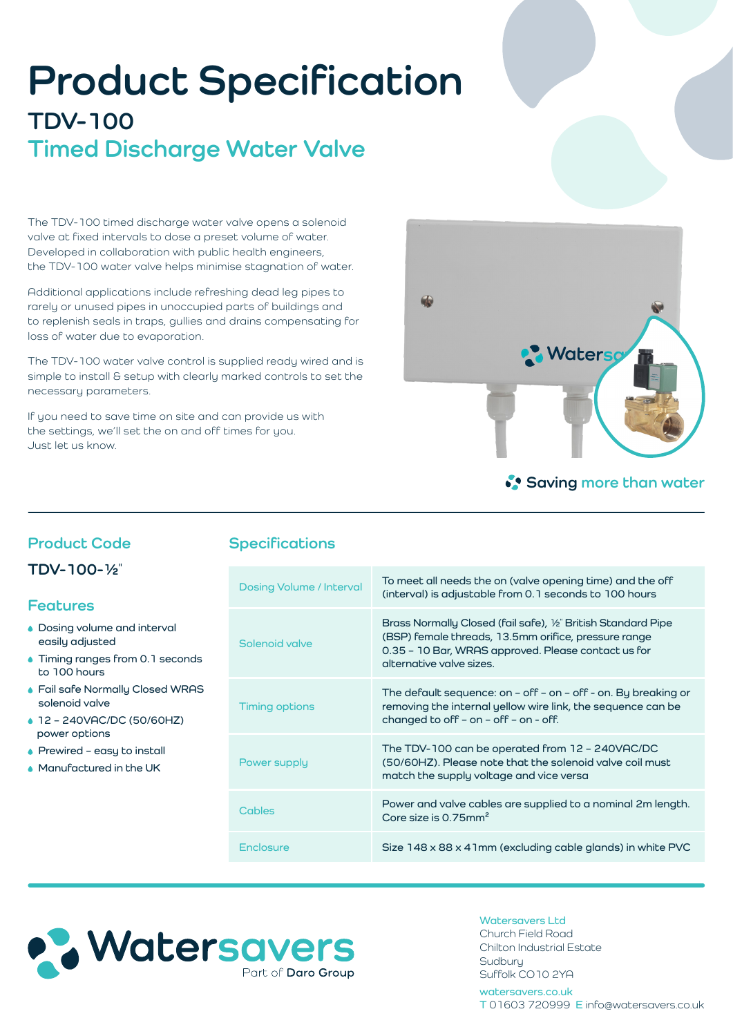# **Product Specification TDV-100 Timed Discharge Water Valve**

The TDV-100 timed discharge water valve opens a solenoid valve at fixed intervals to dose a preset volume of water. Developed in collaboration with public health engineers, the TDV-100 water valve helps minimise stagnation of water.

Additional applications include refreshing dead leg pipes to rarely or unused pipes in unoccupied parts of buildings and to replenish seals in traps, gullies and drains compensating for loss of water due to evaporation.

The TDV-100 water valve control is supplied ready wired and is simple to install & setup with clearly marked controls to set the necessary parameters.

If you need to save time on site and can provide us with the settings, we'll set the on and off times for you. Just let us know.



## **Saving more than water**

## **Product Code**

**TDV-100-1/2"**

#### **Features**

- **Dosing volume and interval easily adjusted**
- **Timing ranges from 0.1 seconds to 100 hours**
- **Fail safe Normally Closed WRAS solenoid valve**
- **12 240VAC/DC (50/60HZ) power options**
- **Prewired easy to install**
- **Manufactured in the UK**

## **Specifications**

| <b>Dosing Volume / Interval</b> | To meet all needs the on (valve opening time) and the off<br>(interval) is adjustable from 0.1 seconds to 100 hours                                                                                      |
|---------------------------------|----------------------------------------------------------------------------------------------------------------------------------------------------------------------------------------------------------|
| Solenoid valve                  | Brass Normally Closed (fail safe), 1/2" British Standard Pipe<br>(BSP) female threads, 13.5mm orifice, pressure range<br>0.35 - 10 Bar, WRAS approved. Please contact us for<br>alternative valve sizes. |
| Timing options                  | The default sequence: on $-$ off $-$ on $-$ off $-$ on. By breaking or<br>removing the internal yellow wire link, the sequence can be<br>changed to off $-$ on $-$ off $-$ on $-$ off.                   |
| Power supply                    | The TDV-100 can be operated from 12 - 240VAC/DC<br>(50/60HZ). Please note that the solenoid valve coil must<br>match the supply voltage and vice versa                                                   |
| Cables                          | Power and valve cables are supplied to a nominal 2m length.<br>Core size is $0.75$ mm <sup>2</sup>                                                                                                       |
| Enclosure                       | Size 148 x 88 x 41mm (excluding cable glands) in white PVC                                                                                                                                               |



**Watersavers Ltd** Church Field Road Chilton Industrial Estate **Sudbury** Suffolk CO10 2YA

**watersavers.co.uk T** 01603 720999 **E** info@watersavers.co.uk